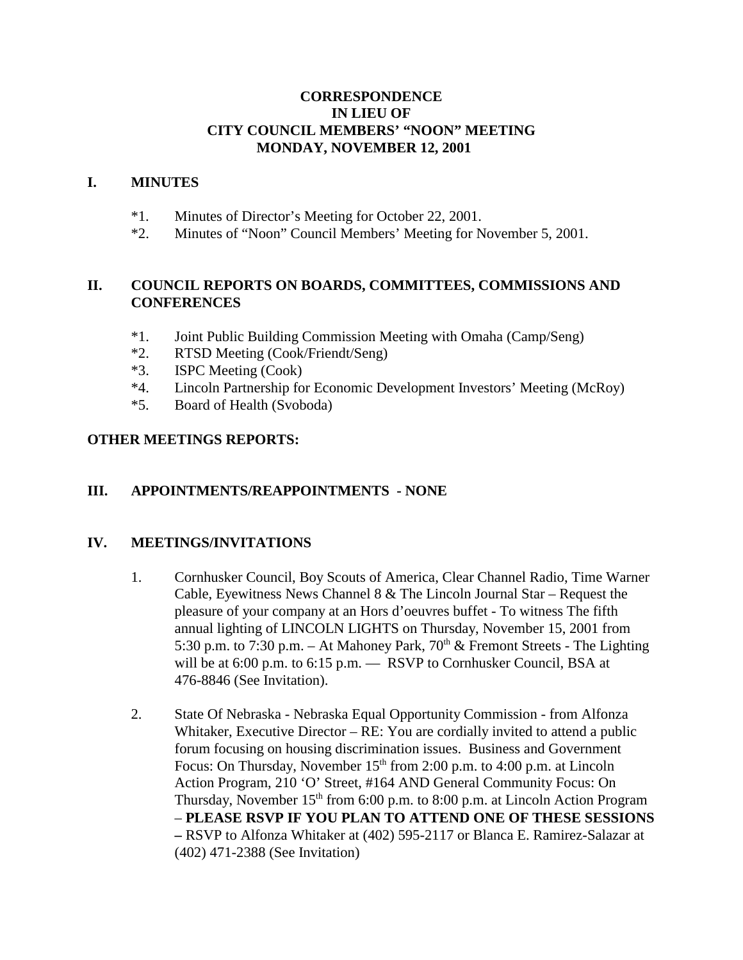### **CORRESPONDENCE IN LIEU OF CITY COUNCIL MEMBERS' "NOON" MEETING MONDAY, NOVEMBER 12, 2001**

#### **I. MINUTES**

- \*1. Minutes of Director's Meeting for October 22, 2001.
- \*2. Minutes of "Noon" Council Members' Meeting for November 5, 2001.

### **II. COUNCIL REPORTS ON BOARDS, COMMITTEES, COMMISSIONS AND CONFERENCES**

- \*1. Joint Public Building Commission Meeting with Omaha (Camp/Seng)
- \*2. RTSD Meeting (Cook/Friendt/Seng)
- \*3. ISPC Meeting (Cook)
- \*4. Lincoln Partnership for Economic Development Investors' Meeting (McRoy)
- \*5. Board of Health (Svoboda)

### **OTHER MEETINGS REPORTS:**

### **III. APPOINTMENTS/REAPPOINTMENTS - NONE**

### **IV. MEETINGS/INVITATIONS**

- 1. Cornhusker Council, Boy Scouts of America, Clear Channel Radio, Time Warner Cable, Eyewitness News Channel 8 & The Lincoln Journal Star – Request the pleasure of your company at an Hors d'oeuvres buffet - To witness The fifth annual lighting of LINCOLN LIGHTS on Thursday, November 15, 2001 from 5:30 p.m. to 7:30 p.m. – At Mahoney Park,  $70<sup>th</sup>$  & Fremont Streets - The Lighting will be at 6:00 p.m. to 6:15 p.m. — RSVP to Cornhusker Council, BSA at 476-8846 (See Invitation).
- 2. State Of Nebraska Nebraska Equal Opportunity Commission from Alfonza Whitaker, Executive Director – RE: You are cordially invited to attend a public forum focusing on housing discrimination issues. Business and Government Focus: On Thursday, November 15<sup>th</sup> from 2:00 p.m. to 4:00 p.m. at Lincoln Action Program, 210 'O' Street, #164 AND General Community Focus: On Thursday, November  $15<sup>th</sup>$  from 6:00 p.m. to 8:00 p.m. at Lincoln Action Program – **PLEASE RSVP IF YOU PLAN TO ATTEND ONE OF THESE SESSIONS –** RSVP to Alfonza Whitaker at (402) 595-2117 or Blanca E. Ramirez-Salazar at (402) 471-2388 (See Invitation)